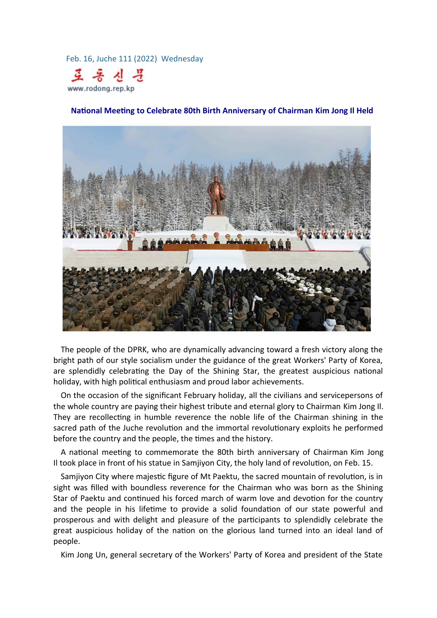Feb. 16, Juche 111 (2022) Wednesday



**National Meeting to Celebrate 80th Birth Anniversary of Chairman Kim Jong Il Held**



The people of the DPRK, who are dynamically advancing toward a fresh victory along the bright path of our style socialism under the guidance of the great Workers' Party of Korea, are splendidly celebrating the Day of the Shining Star, the greatest auspicious national holiday, with high political enthusiasm and proud labor achievements.

On the occasion of the significant February holiday, all the civilians and servicepersons of the whole country are paying their highest tribute and eternal glory to Chairman Kim Jong Il. They are recollecting in humble reverence the noble life of the Chairman shining in the sacred path of the Juche revolution and the immortal revolutionary exploits he performed before the country and the people, the times and the history.

A national meeting to commemorate the 80th birth anniversary of Chairman Kim Jong Il took place in front of his statue in Samjiyon City, the holy land of revolution, on Feb. 15.

Samjiyon City where majestic figure of Mt Paektu, the sacred mountain of revolution, is in sight was filled with boundless reverence for the Chairman who was born as the Shining Star of Paektu and continued his forced march of warm love and devotion for the country and the people in his lifetime to provide a solid foundation of our state powerful and prosperous and with delight and pleasure of the participants to splendidly celebrate the great auspicious holiday of the nation on the glorious land turned into an ideal land of people.

Kim Jong Un, general secretary of the Workers' Party of Korea and president of the State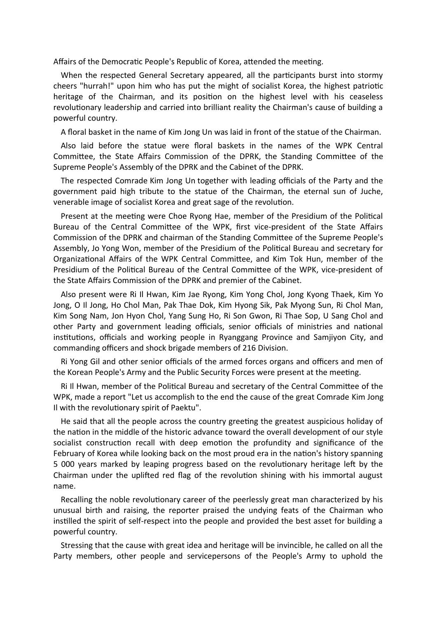Affairs of the Democratic People's Republic of Korea, attended the meeting.

When the respected General Secretary appeared, all the participants burst into stormy cheers "hurrah!" upon him who has put the might of socialist Korea, the highest patriotic heritage of the Chairman, and its position on the highest level with his ceaseless revolutionary leadership and carried into brilliant reality the Chairman's cause of building a powerful country.

A floral basket in the name of Kim Jong Un was laid in front of the statue of the Chairman.

Also laid before the statue were floral baskets in the names of the WPK Central Committee, the State Affairs Commission of the DPRK, the Standing Committee of the Supreme People's Assembly of the DPRK and the Cabinet of the DPRK.

The respected Comrade Kim Jong Un together with leading officials of the Party and the government paid high tribute to the statue of the Chairman, the eternal sun of Juche, venerable image of socialist Korea and great sage of the revolution.

Present at the meeting were Choe Ryong Hae, member of the Presidium of the Political Bureau of the Central Committee of the WPK, first vice-president of the State Affairs Commission of the DPRK and chairman of the Standing Committee of the Supreme People's Assembly, Jo Yong Won, member of the Presidium of the Political Bureau and secretary for Organizational Affairs of the WPK Central Committee, and Kim Tok Hun, member of the Presidium of the Political Bureau of the Central Committee of the WPK, vice-president of the State Affairs Commission of the DPRK and premier of the Cabinet.

Also present were Ri Il Hwan, Kim Jae Ryong, Kim Yong Chol, Jong Kyong Thaek, Kim Yo Jong, O Il Jong, Ho Chol Man, Pak Thae Dok, Kim Hyong Sik, Pak Myong Sun, Ri Chol Man, Kim Song Nam, Jon Hyon Chol, Yang Sung Ho, Ri Son Gwon, Ri Thae Sop, U Sang Chol and other Party and government leading officials, senior officials of ministries and national institutions, officials and working people in Ryanggang Province and Samjiyon City, and commanding officers and shock brigade members of 216 Division.

Ri Yong Gil and other senior officials of the armed forces organs and officers and men of the Korean People's Army and the Public Security Forces were present at the meeting.

Ri Il Hwan, member of the Political Bureau and secretary of the Central Committee of the WPK, made a report "Let us accomplish to the end the cause of the great Comrade Kim Jong Il with the revolutionary spirit of Paektu".

He said that all the people across the country greeting the greatest auspicious holiday of the nation in the middle of the historic advance toward the overall development of our style socialist construction recall with deep emotion the profundity and significance of the February of Korea while looking back on the most proud era in the nation's history spanning 5 000 years marked by leaping progress based on the revolutionary heritage left by the Chairman under the uplifted red flag of the revolution shining with his immortal august name.

Recalling the noble revolutionary career of the peerlessly great man characterized by his unusual birth and raising, the reporter praised the undying feats of the Chairman who instilled the spirit of self-respect into the people and provided the best asset for building a powerful country.

Stressing that the cause with great idea and heritage will be invincible, he called on all the Party members, other people and servicepersons of the People's Army to uphold the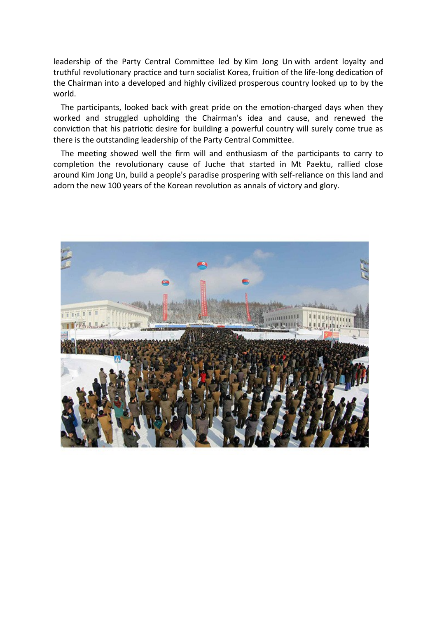leadership of the Party Central Committee led by Kim Jong Un with ardent loyalty and truthful revolutionary practice and turn socialist Korea, fruition of the life-long dedication of the Chairman into a developed and highly civilized prosperous country looked up to by the world.

The participants, looked back with great pride on the emotion-charged days when they worked and struggled upholding the Chairman's idea and cause, and renewed the conviction that his patriotic desire for building a powerful country will surely come true as there is the outstanding leadership of the Party Central Committee.

The meeting showed well the firm will and enthusiasm of the participants to carry to completion the revolutionary cause of Juche that started in Mt Paektu, rallied close around Kim Jong Un, build a people's paradise prospering with self-reliance on this land and adorn the new 100 years of the Korean revolution as annals of victory and glory.